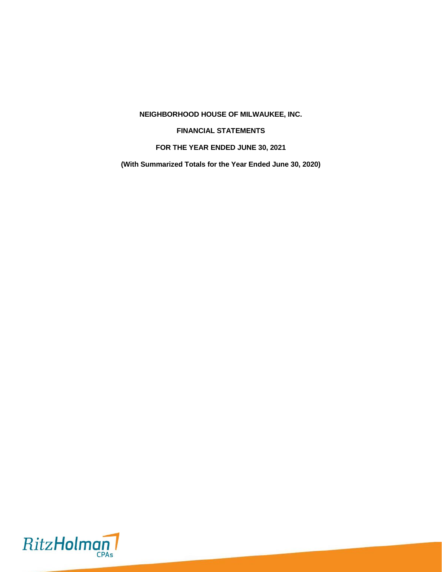**NEIGHBORHOOD HOUSE OF MILWAUKEE, INC.**

# **FINANCIAL STATEMENTS**

# **FOR THE YEAR ENDED JUNE 30, 2021**

**(With Summarized Totals for the Year Ended June 30, 2020)**

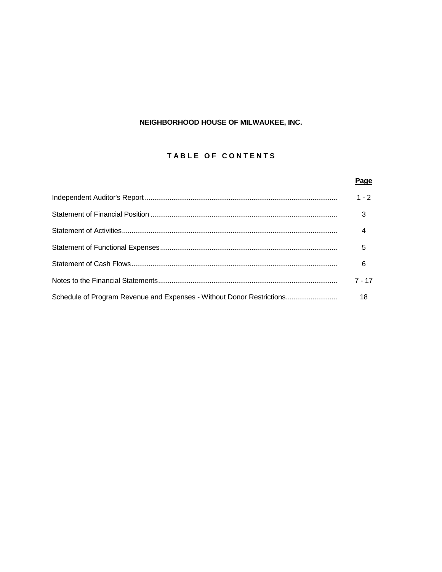# NEIGHBORHOOD HOUSE OF MILWAUKEE, INC.

# TABLE OF CONTENTS

|                                                                       | Page     |
|-----------------------------------------------------------------------|----------|
|                                                                       | $1 - 2$  |
|                                                                       | 3        |
|                                                                       | 4        |
|                                                                       | 5        |
|                                                                       | 6        |
|                                                                       | $7 - 17$ |
| Schedule of Program Revenue and Expenses - Without Donor Restrictions | 18       |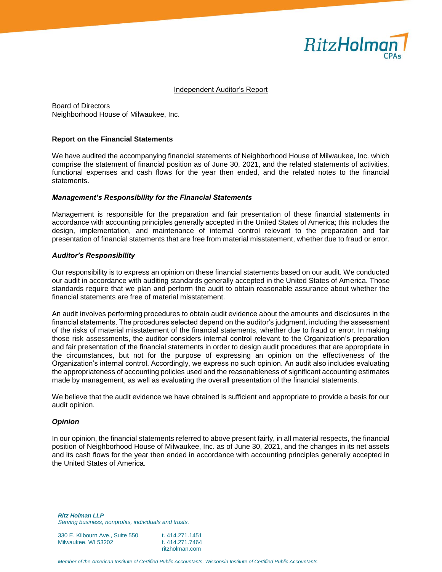

#### Independent Auditor's Report

Board of Directors Neighborhood House of Milwaukee, Inc.

#### **Report on the Financial Statements**

We have audited the accompanying financial statements of Neighborhood House of Milwaukee, Inc. which comprise the statement of financial position as of June 30, 2021, and the related statements of activities, functional expenses and cash flows for the year then ended, and the related notes to the financial statements.

#### *Management's Responsibility for the Financial Statements*

Management is responsible for the preparation and fair presentation of these financial statements in accordance with accounting principles generally accepted in the United States of America; this includes the design, implementation, and maintenance of internal control relevant to the preparation and fair presentation of financial statements that are free from material misstatement, whether due to fraud or error.

#### *Auditor's Responsibility*

Our responsibility is to express an opinion on these financial statements based on our audit. We conducted our audit in accordance with auditing standards generally accepted in the United States of America. Those standards require that we plan and perform the audit to obtain reasonable assurance about whether the financial statements are free of material misstatement.

An audit involves performing procedures to obtain audit evidence about the amounts and disclosures in the financial statements. The procedures selected depend on the auditor's judgment, including the assessment of the risks of material misstatement of the financial statements, whether due to fraud or error. In making those risk assessments, the auditor considers internal control relevant to the Organization's preparation and fair presentation of the financial statements in order to design audit procedures that are appropriate in the circumstances, but not for the purpose of expressing an opinion on the effectiveness of the Organization's internal control. Accordingly, we express no such opinion. An audit also includes evaluating the appropriateness of accounting policies used and the reasonableness of significant accounting estimates made by management, as well as evaluating the overall presentation of the financial statements.

We believe that the audit evidence we have obtained is sufficient and appropriate to provide a basis for our audit opinion.

#### *Opinion*

In our opinion, the financial statements referred to above present fairly, in all material respects, the financial position of Neighborhood House of Milwaukee, Inc. as of June 30, 2021, and the changes in its net assets and its cash flows for the year then ended in accordance with accounting principles generally accepted in the United States of America.

*Ritz Holman LLP Serving business, nonprofits, individuals and trusts.*

| 330 E. Kilbourn Ave., Suite 550 | t. 414.271.1451 |
|---------------------------------|-----------------|
| Milwaukee, WI 53202             | f. 414.271.7464 |
|                                 | ritzholman.com  |

*Member of the American Institute of Certified Public Accountants, Wisconsin Institute of Certified Public Accountants*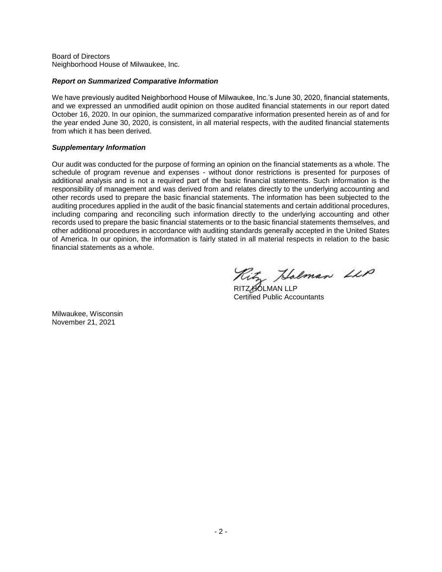#### Board of Directors Neighborhood House of Milwaukee, Inc.

#### *Report on Summarized Comparative Information*

We have previously audited Neighborhood House of Milwaukee, Inc.'s June 30, 2020, financial statements, and we expressed an unmodified audit opinion on those audited financial statements in our report dated October 16, 2020. In our opinion, the summarized comparative information presented herein as of and for the year ended June 30, 2020, is consistent, in all material respects, with the audited financial statements from which it has been derived.

## *Supplementary Information*

Our audit was conducted for the purpose of forming an opinion on the financial statements as a whole. The schedule of program revenue and expenses - without donor restrictions is presented for purposes of additional analysis and is not a required part of the basic financial statements. Such information is the responsibility of management and was derived from and relates directly to the underlying accounting and other records used to prepare the basic financial statements. The information has been subjected to the auditing procedures applied in the audit of the basic financial statements and certain additional procedures, including comparing and reconciling such information directly to the underlying accounting and other records used to prepare the basic financial statements or to the basic financial statements themselves, and other additional procedures in accordance with auditing standards generally accepted in the United States of America. In our opinion, the information is fairly stated in all material respects in relation to the basic financial statements as a whole.

by Holman LLP

RITZ HOLMAN LLP Certified Public Accountants

Milwaukee, Wisconsin November 21, 2021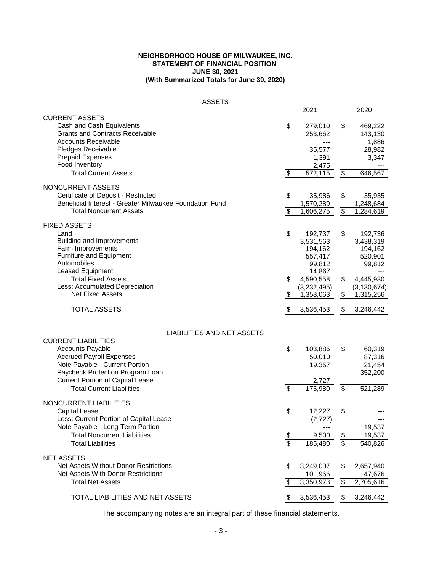#### **NEIGHBORHOOD HOUSE OF MILWAUKEE, INC. STATEMENT OF FINANCIAL POSITION JUNE 30, 2021 (With Summarized Totals for June 30, 2020)**

| <b>ASSETS</b>                                           |                          |                            |                          |                      |
|---------------------------------------------------------|--------------------------|----------------------------|--------------------------|----------------------|
|                                                         |                          | 2021                       |                          | 2020                 |
| <b>CURRENT ASSETS</b>                                   |                          |                            |                          |                      |
| Cash and Cash Equivalents                               | \$                       | 279,010                    | \$                       | 469,222              |
| <b>Grants and Contracts Receivable</b>                  |                          | 253,662                    |                          | 143,130              |
| <b>Accounts Receivable</b>                              |                          | $---$                      |                          | 1,886                |
| Pledges Receivable                                      |                          | 35,577                     |                          | 28,982               |
| <b>Prepaid Expenses</b>                                 |                          | 1,391                      |                          | 3,347                |
| Food Inventory                                          |                          | 2,475                      |                          |                      |
| <b>Total Current Assets</b>                             | \$                       | $\overline{572,115}$       | $\overline{\$}$          | 646,567              |
| NONCURRENT ASSETS                                       |                          |                            |                          |                      |
| Certificate of Deposit - Restricted                     | \$                       | 35,986                     | \$                       | 35,935               |
| Beneficial Interest - Greater Milwaukee Foundation Fund |                          | 1,570,289                  |                          | 1,248,684            |
| <b>Total Noncurrent Assets</b>                          | \$                       | 1,606,275                  | $\overline{\mathcal{E}}$ | 1,284,619            |
| <b>FIXED ASSETS</b>                                     |                          |                            |                          |                      |
| Land                                                    | \$                       |                            |                          |                      |
| <b>Building and Improvements</b>                        |                          | 192,737                    | \$                       | 192,736              |
| Farm Improvements                                       |                          | 3,531,563<br>194,162       |                          | 3,438,319<br>194,162 |
| <b>Furniture and Equipment</b>                          |                          | 557,417                    |                          | 520,901              |
| Automobiles                                             |                          | 99,812                     |                          | 99,812               |
| Leased Equipment                                        |                          | 14,867                     |                          |                      |
| <b>Total Fixed Assets</b>                               | $\overline{\mathcal{S}}$ | 4,590,558                  | $\overline{\mathcal{S}}$ | 4,445,930            |
| Less: Accumulated Depreciation                          |                          | (3,232,495)                |                          | (3, 130, 674)        |
| <b>Net Fixed Assets</b>                                 | \$                       | 1,358,063                  | $\overline{\$}$          | 1,315,256            |
| <b>TOTAL ASSETS</b>                                     | \$                       | 3,536,453                  | \$                       | 3,246,442            |
| LIABILITIES AND NET ASSETS                              |                          |                            |                          |                      |
| <b>CURRENT LIABILITIES</b>                              |                          |                            |                          |                      |
| <b>Accounts Payable</b>                                 | \$                       | 103,886                    | \$                       | 60,319               |
| <b>Accrued Payroll Expenses</b>                         |                          | 50,010                     |                          | 87,316               |
| Note Payable - Current Portion                          |                          | 19,357                     |                          | 21,454               |
| Paycheck Protection Program Loan                        |                          | $\qquad \qquad \text{---}$ |                          | 352,200              |
| <b>Current Portion of Capital Lease</b>                 |                          | 2,727                      |                          |                      |
| <b>Total Current Liabilities</b>                        | $\overline{\mathbf{e}}$  | 175,980                    | \$                       | 521,289              |
|                                                         |                          |                            |                          |                      |
| NONCURRENT LIABILITIES                                  |                          |                            |                          |                      |
| <b>Capital Lease</b>                                    | \$                       | 12,227                     | \$                       |                      |
| Less: Current Portion of Capital Lease                  |                          | (2,727)                    |                          |                      |
| Note Payable - Long-Term Portion                        |                          |                            |                          | 19,537               |
| <b>Total Noncurrent Liabilities</b>                     | $\frac{6}{3}$            | 9,500                      | $\frac{1}{2}$            | 19,537               |
| <b>Total Liabilities</b>                                |                          | 185,480                    | $\overline{\mathcal{S}}$ | 540,826              |
| <b>NET ASSETS</b>                                       |                          |                            |                          |                      |
| Net Assets Without Donor Restrictions                   | S                        | 3,249,007                  | S                        | 2,657,940            |
| Net Assets With Donor Restrictions                      |                          | 101,966                    |                          | 47,676               |
| <b>Total Net Assets</b>                                 | \$                       | 3,350,973                  | \$                       | 2,705,616            |
|                                                         |                          |                            |                          |                      |
| TOTAL LIABILITIES AND NET ASSETS                        | <u>\$</u>                | 3,536,453                  | \$                       | 3,246,442            |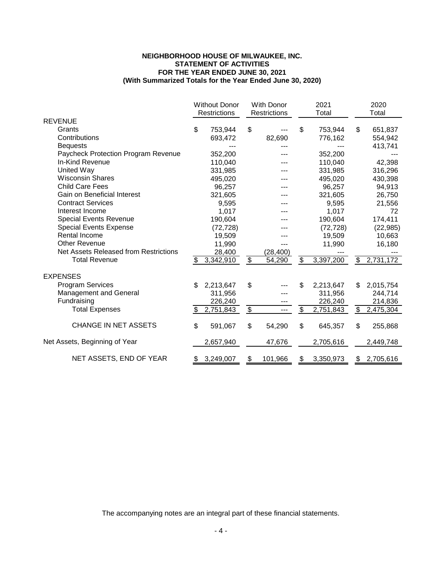#### **NEIGHBORHOOD HOUSE OF MILWAUKEE, INC. STATEMENT OF ACTIVITIES FOR THE YEAR ENDED JUNE 30, 2021 (With Summarized Totals for the Year Ended June 30, 2020)**

|                                       |     | <b>Without Donor</b> |               | <b>With Donor</b> | 2021            | 2020            |
|---------------------------------------|-----|----------------------|---------------|-------------------|-----------------|-----------------|
|                                       |     | Restrictions         |               | Restrictions      | Total           | Total           |
| <b>REVENUE</b>                        |     |                      |               |                   |                 |                 |
| Grants                                | \$  | 753,944              | \$            |                   | \$<br>753,944   | \$<br>651,837   |
| Contributions                         |     | 693,472              |               | 82,690            | 776,162         | 554,942         |
| <b>Bequests</b>                       |     |                      |               |                   |                 | 413,741         |
| Paycheck Protection Program Revenue   |     | 352,200              |               |                   | 352,200         |                 |
| In-Kind Revenue                       |     | 110,040              |               |                   | 110,040         | 42,398          |
| United Way                            |     | 331,985              |               |                   | 331,985         | 316,296         |
| <b>Wisconsin Shares</b>               |     | 495,020              |               |                   | 495,020         | 430,398         |
| <b>Child Care Fees</b>                |     | 96,257               |               |                   | 96,257          | 94,913          |
| Gain on Beneficial Interest           |     | 321,605              |               |                   | 321,605         | 26,750          |
| <b>Contract Services</b>              |     | 9,595                |               |                   | 9,595           | 21,556          |
| Interest Income                       |     | 1.017                |               |                   | 1,017           | 72              |
| <b>Special Events Revenue</b>         |     | 190,604              |               |                   | 190,604         | 174,411         |
| <b>Special Events Expense</b>         |     | (72, 728)            |               |                   | (72, 728)       | (22, 985)       |
| Rental Income                         |     | 19,509               |               |                   | 19,509          | 10,663          |
| Other Revenue                         |     | 11,990               |               |                   | 11,990          | 16,180          |
| Net Assets Released from Restrictions |     | 28,400               |               | (28, 400)         |                 |                 |
| <b>Total Revenue</b>                  | \$  | 3,342,910            | \$            | 54,290            | \$<br>3,397,200 | \$<br>2,731,172 |
| <b>EXPENSES</b>                       |     |                      |               |                   |                 |                 |
| <b>Program Services</b>               | \$. | 2,213,647            | \$            |                   | \$<br>2,213,647 | \$              |
| Management and General                |     |                      |               |                   |                 | 2,015,754       |
| Fundraising                           |     | 311,956              |               |                   | 311,956         | 244,714         |
|                                       |     | 226,240              |               |                   | 226,240         | 214,836         |
| <b>Total Expenses</b>                 | \$  | 2,751,843            | $\frac{1}{2}$ | ---               | \$<br>2,751,843 | \$<br>2,475,304 |
| <b>CHANGE IN NET ASSETS</b>           | \$  | 591,067              | \$            | 54,290            | \$<br>645,357   | \$<br>255,868   |
| Net Assets, Beginning of Year         |     | 2,657,940            |               | 47,676            | 2,705,616       | 2,449,748       |
| NET ASSETS, END OF YEAR               | \$  | 3,249,007            | \$            | 101,966           | \$<br>3,350,973 | \$<br>2,705,616 |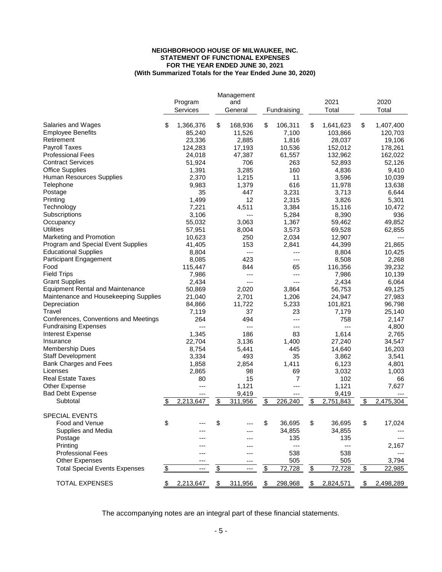#### **NEIGHBORHOOD HOUSE OF MILWAUKEE, INC. (With Summarized Totals for the Year Ended June 30, 2020) FOR THE YEAR ENDED JUNE 30, 2021 STATEMENT OF FUNCTIONAL EXPENSES**

|                                         |    | Program<br>Services | Management<br>and<br>General |     | Fundraising              | 2021<br>Total   | 2020<br>Total   |
|-----------------------------------------|----|---------------------|------------------------------|-----|--------------------------|-----------------|-----------------|
| Salaries and Wages                      | \$ | 1,366,376           | \$<br>168,936                | \$  | 106,311                  | \$<br>1,641,623 | \$<br>1,407,400 |
| <b>Employee Benefits</b>                |    | 85,240              | 11,526                       |     | 7.100                    | 103,866         | 120,703         |
| Retirement                              |    | 23,336              | 2,885                        |     | 1,816                    | 28,037          | 19,106          |
| <b>Payroll Taxes</b>                    |    | 124,283             | 17,193                       |     | 10,536                   | 152,012         | 178,261         |
| <b>Professional Fees</b>                |    | 24,018              | 47,387                       |     | 61,557                   | 132,962         | 162,022         |
| <b>Contract Services</b>                |    | 51,924              | 706                          |     | 263                      | 52,893          | 52,126          |
| <b>Office Supplies</b>                  |    | 1,391               | 3,285                        |     | 160                      | 4,836           | 9,410           |
| Human Resources Supplies                |    | 2,370               | 1,215                        |     | 11                       | 3,596           | 10,039          |
| Telephone                               |    | 9,983               | 1,379                        |     | 616                      | 11,978          | 13,638          |
| Postage                                 |    | 35                  | 447                          |     | 3,231                    | 3,713           | 6,644           |
| Printing                                |    | 1,499               | 12                           |     | 2,315                    | 3,826           | 5,301           |
| Technology                              |    | 7,221               | 4,511                        |     | 3,384                    | 15,116          | 10,472          |
| Subscriptions                           |    | 3,106               | $\overline{a}$               |     | 5,284                    | 8,390           | 936             |
| Occupancy                               |    | 55,032              | 3,063                        |     | 1,367                    | 59,462          | 49,852          |
| <b>Utilities</b>                        |    | 57,951              | 8,004                        |     | 3,573                    | 69,528          | 62,855          |
| Marketing and Promotion                 |    | 10,623              | 250                          |     | 2,034                    | 12,907          | ---             |
| Program and Special Event Supplies      |    | 41,405              | 153                          |     | 2,841                    | 44,399          | 21,865          |
| <b>Educational Supplies</b>             |    | 8,804               | $\overline{a}$               |     | ---                      | 8,804           | 10,425          |
| Participant Engagement                  |    | 8,085               | 423                          |     | ---                      | 8,508           | 2,268           |
| Food                                    |    | 115,447             | 844                          |     | 65                       | 116,356         | 39,232          |
| <b>Field Trips</b>                      |    | 7,986               | ---                          |     | ---                      | 7,986           | 10,139          |
| <b>Grant Supplies</b>                   |    | 2,434               | $-$ --                       |     | $---$                    | 2.434           | 6,064           |
| <b>Equipment Rental and Maintenance</b> |    | 50,869              | 2,020                        |     | 3,864                    | 56,753          | 49,125          |
| Maintenance and Housekeeping Supplies   |    | 21,040              | 2,701                        |     | 1,206                    | 24,947          | 27,983          |
| Depreciation                            |    | 84,866              | 11,722                       |     | 5,233                    | 101,821         | 96,798          |
| Travel                                  |    | 7,119               | 37                           |     | 23                       | 7,179           | 25,140          |
| Conferences, Conventions and Meetings   |    | 264                 | 494                          |     | ---                      | 758             | 2,147           |
| <b>Fundraising Expenses</b>             |    | $---$               | $\overline{a}$               |     | ---                      | ---             | 4,800           |
| <b>Interest Expense</b>                 |    | 1,345               | 186                          |     | 83                       | 1,614           | 2,765           |
| Insurance                               |    | 22,704              | 3,136                        |     | 1,400                    | 27,240          | 34,547          |
| <b>Membership Dues</b>                  |    | 8,754               | 5,441                        |     | 445                      | 14,640          | 16,203          |
| <b>Staff Development</b>                |    | 3,334               | 493                          |     | 35                       | 3,862           | 3,541           |
| Bank Charges and Fees                   |    | 1,858               | 2,854                        |     | 1,411                    | 6,123           | 4,801           |
| Licenses                                |    | 2,865               | 98                           |     | 69                       | 3,032           | 1,003           |
| <b>Real Estate Taxes</b>                |    | 80                  | 15                           |     | 7                        | 102             | 66              |
| <b>Other Expense</b>                    |    | ---                 | 1,121                        |     | ---                      | 1,121           | 7,627           |
| <b>Bad Debt Expense</b>                 |    | $---$               | 9,419                        |     | ---                      | 9,419           | ---             |
| Subtotal                                | S  | 2,213,647           | \$<br>311,956                | \$  | 226,240                  | \$<br>2,751,843 | \$<br>2,475,304 |
| <b>SPECIAL EVENTS</b>                   |    |                     |                              |     |                          |                 |                 |
| Food and Venue                          | \$ |                     | \$                           | \$  | 36,695                   | \$<br>36,695    | \$<br>17,024    |
| Supplies and Media                      |    |                     |                              |     | 34,855                   | 34,855          |                 |
| Postage                                 |    |                     | ---                          |     | 135                      | 135             | $---$           |
| Printing                                |    |                     |                              |     | $\hspace{0.05cm} \ldots$ | $---$           | 2,167           |
| Professional Fees                       |    |                     |                              |     | 538                      | 538             |                 |
| <b>Other Expenses</b>                   |    |                     | ---                          |     | 505                      | 505             | 3,794           |
| <b>Total Special Events Expenses</b>    | \$ | $---$               | \$<br>$\qquad \qquad - -$    | \$  | 72,728                   | \$<br>72,728    | \$<br>22,985    |
| TOTAL EXPENSES                          | S. | 2,213,647           | \$<br>311,956                | \$. | 298,968                  | \$<br>2,824,571 | \$<br>2,498,289 |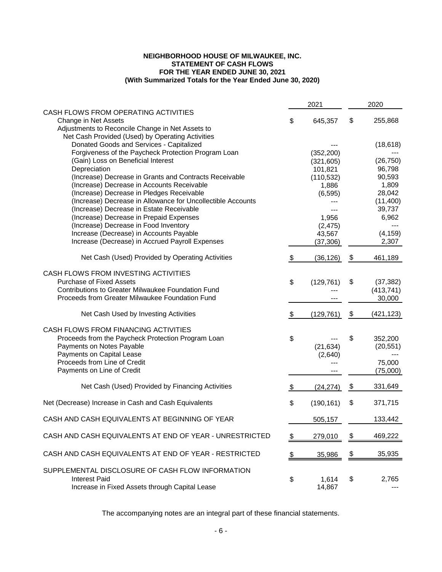#### **NEIGHBORHOOD HOUSE OF MILWAUKEE, INC. STATEMENT OF CASH FLOWS FOR THE YEAR ENDED JUNE 30, 2021 (With Summarized Totals for the Year Ended June 30, 2020)**

|                                                             |               | 2021       |               | 2020       |
|-------------------------------------------------------------|---------------|------------|---------------|------------|
| CASH FLOWS FROM OPERATING ACTIVITIES                        |               |            |               |            |
| Change in Net Assets                                        | \$            | 645,357    | \$            | 255,868    |
| Adjustments to Reconcile Change in Net Assets to            |               |            |               |            |
| Net Cash Provided (Used) by Operating Activities            |               |            |               |            |
| Donated Goods and Services - Capitalized                    |               |            |               | (18, 618)  |
| Forgiveness of the Paycheck Protection Program Loan         |               | (352, 200) |               |            |
| (Gain) Loss on Beneficial Interest                          |               | (321, 605) |               | (26, 750)  |
| Depreciation                                                |               | 101,821    |               | 96,798     |
| (Increase) Decrease in Grants and Contracts Receivable      |               | (110, 532) |               | 90,593     |
| (Increase) Decrease in Accounts Receivable                  |               | 1,886      |               | 1,809      |
| (Increase) Decrease in Pledges Receivable                   |               | (6, 595)   |               | 28,042     |
| (Increase) Decrease in Allowance for Uncollectible Accounts |               | ---        |               | (11, 400)  |
| (Increase) Decrease in Estate Receivable                    |               | ---        |               | 39,737     |
| (Increase) Decrease in Prepaid Expenses                     |               | 1,956      |               | 6,962      |
| (Increase) Decrease in Food Inventory                       |               | (2, 475)   |               |            |
| Increase (Decrease) in Accounts Payable                     |               | 43,567     |               | (4, 159)   |
| Increase (Decrease) in Accrued Payroll Expenses             |               | (37, 306)  |               | 2,307      |
| Net Cash (Used) Provided by Operating Activities            | \$            | (36, 126)  | \$            | 461,189    |
| CASH FLOWS FROM INVESTING ACTIVITIES                        |               |            |               |            |
| <b>Purchase of Fixed Assets</b>                             | \$            | (129, 761) | \$            | (37, 382)  |
| Contributions to Greater Milwaukee Foundation Fund          |               |            |               | (413, 741) |
| Proceeds from Greater Milwaukee Foundation Fund             |               |            |               | 30,000     |
|                                                             |               |            |               |            |
| Net Cash Used by Investing Activities                       | $\frac{1}{2}$ | (129, 761) | \$            | (421, 123) |
| CASH FLOWS FROM FINANCING ACTIVITIES                        |               |            |               |            |
| Proceeds from the Paycheck Protection Program Loan          | \$            |            | \$            | 352,200    |
| Payments on Notes Payable                                   |               | (21, 634)  |               | (20, 551)  |
| Payments on Capital Lease                                   |               | (2,640)    |               |            |
| Proceeds from Line of Credit                                |               |            |               | 75,000     |
| Payments on Line of Credit                                  |               |            |               | (75,000)   |
| Net Cash (Used) Provided by Financing Activities            | $\frac{1}{2}$ | (24, 274)  | $\frac{1}{2}$ | 331,649    |
| Net (Decrease) Increase in Cash and Cash Equivalents        | \$            | (190, 161) | \$            | 371,715    |
| CASH AND CASH EQUIVALENTS AT BEGINNING OF YEAR              |               | 505,157    |               | 133,442    |
|                                                             |               |            |               |            |
| CASH AND CASH EQUIVALENTS AT END OF YEAR - UNRESTRICTED     | $\frac{1}{2}$ | 279,010    | \$            | 469,222    |
| CASH AND CASH EQUIVALENTS AT END OF YEAR - RESTRICTED       | <u>\$</u>     | 35,986     | $\frac{1}{2}$ | 35,935     |
| SUPPLEMENTAL DISCLOSURE OF CASH FLOW INFORMATION            |               |            |               |            |
| <b>Interest Paid</b>                                        | \$            | 1,614      | \$            | 2,765      |
| Increase in Fixed Assets through Capital Lease              |               | 14,867     |               |            |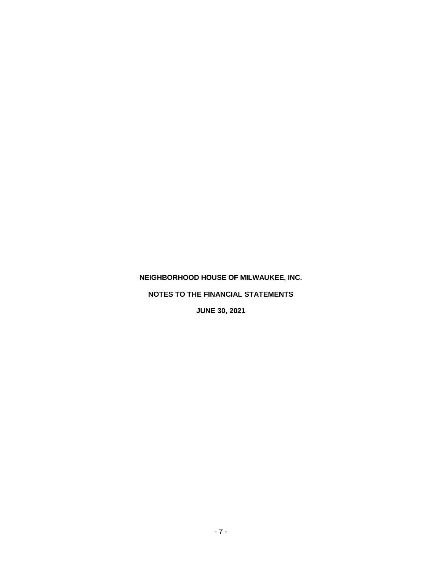# **NEIGHBORHOOD HOUSE OF MILWAUKEE, INC.**

# **NOTES TO THE FINANCIAL STATEMENTS**

**JUNE 30, 2021**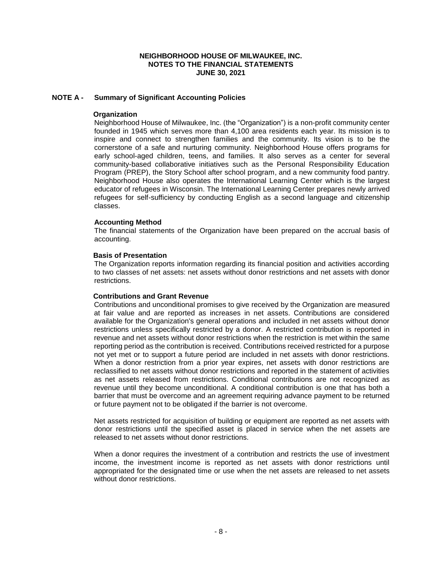## **NOTE A - Summary of Significant Accounting Policies**

#### **Organization**

Neighborhood House of Milwaukee, Inc. (the "Organization") is a non-profit community center founded in 1945 which serves more than 4,100 area residents each year. Its mission is to inspire and connect to strengthen families and the community. Its vision is to be the cornerstone of a safe and nurturing community. Neighborhood House offers programs for early school-aged children, teens, and families. It also serves as a center for several community-based collaborative initiatives such as the Personal Responsibility Education Program (PREP), the Story School after school program, and a new community food pantry. Neighborhood House also operates the International Learning Center which is the largest educator of refugees in Wisconsin. The International Learning Center prepares newly arrived refugees for self-sufficiency by conducting English as a second language and citizenship classes.

#### **Accounting Method**

The financial statements of the Organization have been prepared on the accrual basis of accounting.

#### **Basis of Presentation**

The Organization reports information regarding its financial position and activities according to two classes of net assets: net assets without donor restrictions and net assets with donor restrictions.

#### **Contributions and Grant Revenue**

Contributions and unconditional promises to give received by the Organization are measured at fair value and are reported as increases in net assets. Contributions are considered available for the Organization's general operations and included in net assets without donor restrictions unless specifically restricted by a donor. A restricted contribution is reported in revenue and net assets without donor restrictions when the restriction is met within the same reporting period as the contribution is received. Contributions received restricted for a purpose not yet met or to support a future period are included in net assets with donor restrictions. When a donor restriction from a prior year expires, net assets with donor restrictions are reclassified to net assets without donor restrictions and reported in the statement of activities as net assets released from restrictions. Conditional contributions are not recognized as revenue until they become unconditional. A conditional contribution is one that has both a barrier that must be overcome and an agreement requiring advance payment to be returned or future payment not to be obligated if the barrier is not overcome.

Net assets restricted for acquisition of building or equipment are reported as net assets with donor restrictions until the specified asset is placed in service when the net assets are released to net assets without donor restrictions.

When a donor requires the investment of a contribution and restricts the use of investment income, the investment income is reported as net assets with donor restrictions until appropriated for the designated time or use when the net assets are released to net assets without donor restrictions.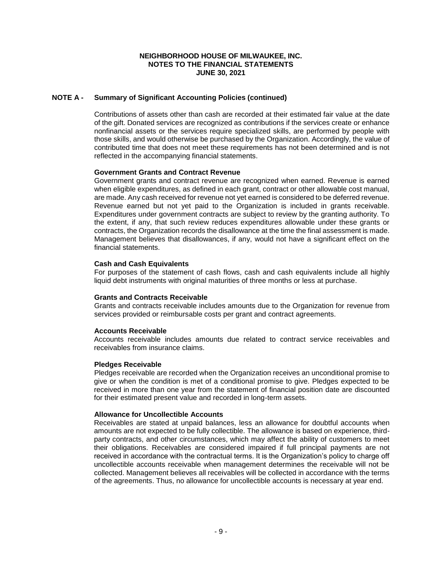# **NOTE A - Summary of Significant Accounting Policies (continued)**

Contributions of assets other than cash are recorded at their estimated fair value at the date of the gift. Donated services are recognized as contributions if the services create or enhance nonfinancial assets or the services require specialized skills, are performed by people with those skills, and would otherwise be purchased by the Organization. Accordingly, the value of contributed time that does not meet these requirements has not been determined and is not reflected in the accompanying financial statements.

# **Government Grants and Contract Revenue**

Government grants and contract revenue are recognized when earned. Revenue is earned when eligible expenditures, as defined in each grant, contract or other allowable cost manual, are made. Any cash received for revenue not yet earned is considered to be deferred revenue. Revenue earned but not yet paid to the Organization is included in grants receivable. Expenditures under government contracts are subject to review by the granting authority. To the extent, if any, that such review reduces expenditures allowable under these grants or contracts, the Organization records the disallowance at the time the final assessment is made. Management believes that disallowances, if any, would not have a significant effect on the financial statements.

#### **Cash and Cash Equivalents**

For purposes of the statement of cash flows, cash and cash equivalents include all highly liquid debt instruments with original maturities of three months or less at purchase.

## **Grants and Contracts Receivable**

Grants and contracts receivable includes amounts due to the Organization for revenue from services provided or reimbursable costs per grant and contract agreements.

#### **Accounts Receivable**

Accounts receivable includes amounts due related to contract service receivables and receivables from insurance claims.

#### **Pledges Receivable**

Pledges receivable are recorded when the Organization receives an unconditional promise to give or when the condition is met of a conditional promise to give. Pledges expected to be received in more than one year from the statement of financial position date are discounted for their estimated present value and recorded in long-term assets.

#### **Allowance for Uncollectible Accounts**

Receivables are stated at unpaid balances, less an allowance for doubtful accounts when amounts are not expected to be fully collectible. The allowance is based on experience, thirdparty contracts, and other circumstances, which may affect the ability of customers to meet their obligations. Receivables are considered impaired if full principal payments are not received in accordance with the contractual terms. It is the Organization's policy to charge off uncollectible accounts receivable when management determines the receivable will not be collected. Management believes all receivables will be collected in accordance with the terms of the agreements. Thus, no allowance for uncollectible accounts is necessary at year end.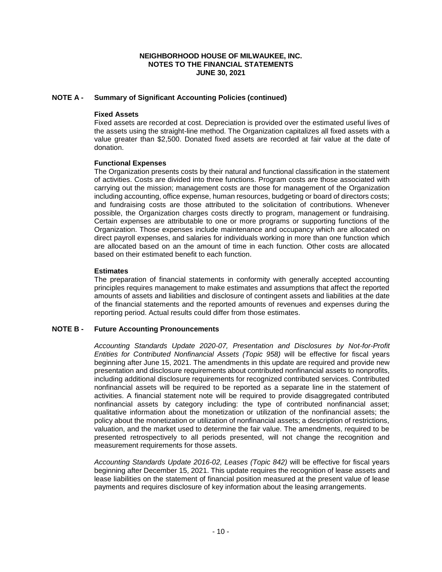# **NOTE A - Summary of Significant Accounting Policies (continued)**

## **Fixed Assets**

Fixed assets are recorded at cost. Depreciation is provided over the estimated useful lives of the assets using the straight-line method. The Organization capitalizes all fixed assets with a value greater than \$2,500. Donated fixed assets are recorded at fair value at the date of donation.

## **Functional Expenses**

The Organization presents costs by their natural and functional classification in the statement of activities. Costs are divided into three functions. Program costs are those associated with carrying out the mission; management costs are those for management of the Organization including accounting, office expense, human resources, budgeting or board of directors costs; and fundraising costs are those attributed to the solicitation of contributions. Whenever possible, the Organization charges costs directly to program, management or fundraising. Certain expenses are attributable to one or more programs or supporting functions of the Organization. Those expenses include maintenance and occupancy which are allocated on direct payroll expenses, and salaries for individuals working in more than one function which are allocated based on an the amount of time in each function. Other costs are allocated based on their estimated benefit to each function.

#### **Estimates**

The preparation of financial statements in conformity with generally accepted accounting principles requires management to make estimates and assumptions that affect the reported amounts of assets and liabilities and disclosure of contingent assets and liabilities at the date of the financial statements and the reported amounts of revenues and expenses during the reporting period. Actual results could differ from those estimates.

# **NOTE B - Future Accounting Pronouncements**

*Accounting Standards Update 2020-07, Presentation and Disclosures by Not-for-Profit Entities for Contributed Nonfinancial Assets (Topic 958)* will be effective for fiscal years beginning after June 15, 2021. The amendments in this update are required and provide new presentation and disclosure requirements about contributed nonfinancial assets to nonprofits, including additional disclosure requirements for recognized contributed services. Contributed nonfinancial assets will be required to be reported as a separate line in the statement of activities. A financial statement note will be required to provide disaggregated contributed nonfinancial assets by category including: the type of contributed nonfinancial asset; qualitative information about the monetization or utilization of the nonfinancial assets; the policy about the monetization or utilization of nonfinancial assets; a description of restrictions, valuation, and the market used to determine the fair value. The amendments, required to be presented retrospectively to all periods presented, will not change the recognition and measurement requirements for those assets.

*Accounting Standards Update 2016-02, Leases (Topic 842)* will be effective for fiscal years beginning after December 15, 2021. This update requires the recognition of lease assets and lease liabilities on the statement of financial position measured at the present value of lease payments and requires disclosure of key information about the leasing arrangements.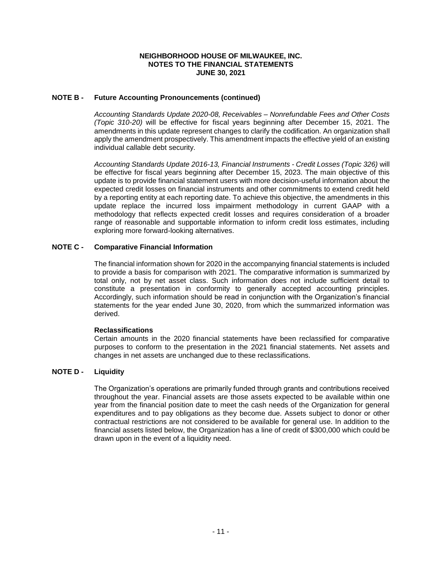# **NOTE B - Future Accounting Pronouncements (continued)**

*Accounting Standards Update 2020-08, Receivables – Nonrefundable Fees and Other Costs (Topic 310-20)* will be effective for fiscal years beginning after December 15, 2021. The amendments in this update represent changes to clarify the codification. An organization shall apply the amendment prospectively. This amendment impacts the effective yield of an existing individual callable debt security.

*Accounting Standards Update 2016-13, Financial Instruments - Credit Losses (Topic 326)* will be effective for fiscal years beginning after December 15, 2023. The main objective of this update is to provide financial statement users with more decision-useful information about the expected credit losses on financial instruments and other commitments to extend credit held by a reporting entity at each reporting date. To achieve this objective, the amendments in this update replace the incurred loss impairment methodology in current GAAP with a methodology that reflects expected credit losses and requires consideration of a broader range of reasonable and supportable information to inform credit loss estimates, including exploring more forward-looking alternatives.

#### **NOTE C - Comparative Financial Information**

The financial information shown for 2020 in the accompanying financial statements is included to provide a basis for comparison with 2021. The comparative information is summarized by total only, not by net asset class. Such information does not include sufficient detail to constitute a presentation in conformity to generally accepted accounting principles. Accordingly, such information should be read in conjunction with the Organization's financial statements for the year ended June 30, 2020, from which the summarized information was derived.

#### **Reclassifications**

Certain amounts in the 2020 financial statements have been reclassified for comparative purposes to conform to the presentation in the 2021 financial statements. Net assets and changes in net assets are unchanged due to these reclassifications.

# **NOTE D - Liquidity**

The Organization's operations are primarily funded through grants and contributions received throughout the year. Financial assets are those assets expected to be available within one year from the financial position date to meet the cash needs of the Organization for general expenditures and to pay obligations as they become due. Assets subject to donor or other contractual restrictions are not considered to be available for general use. In addition to the financial assets listed below, the Organization has a line of credit of \$300,000 which could be drawn upon in the event of a liquidity need.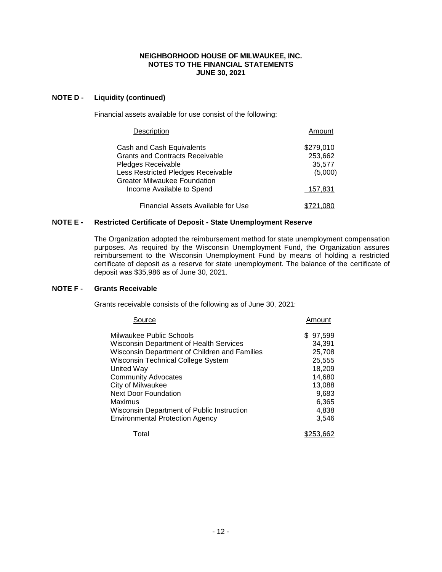# **NOTE D - Liquidity (continued)**

Financial assets available for use consist of the following:

| Description                            | Amount    |
|----------------------------------------|-----------|
| Cash and Cash Equivalents              | \$279,010 |
| <b>Grants and Contracts Receivable</b> | 253,662   |
| Pledges Receivable                     | 35,577    |
| Less Restricted Pledges Receivable     | (5,000)   |
| <b>Greater Milwaukee Foundation</b>    |           |
| Income Available to Spend              | 157,831   |
| Financial Assets Available for Use     |           |

# **NOTE E - Restricted Certificate of Deposit - State Unemployment Reserve**

The Organization adopted the reimbursement method for state unemployment compensation purposes. As required by the Wisconsin Unemployment Fund, the Organization assures reimbursement to the Wisconsin Unemployment Fund by means of holding a restricted certificate of deposit as a reserve for state unemployment. The balance of the certificate of deposit was \$35,986 as of June 30, 2021.

#### **NOTE F - Grants Receivable**

Grants receivable consists of the following as of June 30, 2021:

| Source                                         | Amount   |
|------------------------------------------------|----------|
| Milwaukee Public Schools                       | \$97,599 |
| <b>Wisconsin Department of Health Services</b> | 34,391   |
| Wisconsin Department of Children and Families  | 25,708   |
| Wisconsin Technical College System             | 25,555   |
| United Way                                     | 18,209   |
| <b>Community Advocates</b>                     | 14,680   |
| City of Milwaukee                              | 13,088   |
| <b>Next Door Foundation</b>                    | 9,683    |
| Maximus                                        | 6,365    |
| Wisconsin Department of Public Instruction     | 4,838    |
| <b>Environmental Protection Agency</b>         | 3,546    |
|                                                |          |

| Total | \$253,662 |
|-------|-----------|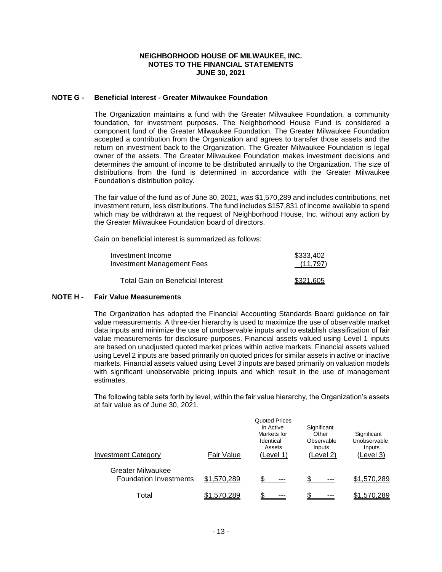#### **NOTE G - Beneficial Interest - Greater Milwaukee Foundation**

The Organization maintains a fund with the Greater Milwaukee Foundation, a community foundation, for investment purposes. The Neighborhood House Fund is considered a component fund of the Greater Milwaukee Foundation. The Greater Milwaukee Foundation accepted a contribution from the Organization and agrees to transfer those assets and the return on investment back to the Organization. The Greater Milwaukee Foundation is legal owner of the assets. The Greater Milwaukee Foundation makes investment decisions and determines the amount of income to be distributed annually to the Organization. The size of distributions from the fund is determined in accordance with the Greater Milwaukee Foundation's distribution policy.

The fair value of the fund as of June 30, 2021, was \$1,570,289 and includes contributions, net investment return, less distributions. The fund includes \$157,831 of income available to spend which may be withdrawn at the request of Neighborhood House, Inc. without any action by the Greater Milwaukee Foundation board of directors.

Gain on beneficial interest is summarized as follows:

| Investment Income                 | \$333,402 |
|-----------------------------------|-----------|
| <b>Investment Management Fees</b> | (11, 797) |
| Total Gain on Beneficial Interest | \$321,605 |

#### **NOTE H - Fair Value Measurements**

The Organization has adopted the Financial Accounting Standards Board guidance on fair value measurements. A three-tier hierarchy is used to maximize the use of observable market data inputs and minimize the use of unobservable inputs and to establish classification of fair value measurements for disclosure purposes. Financial assets valued using Level 1 inputs are based on unadjusted quoted market prices within active markets. Financial assets valued using Level 2 inputs are based primarily on quoted prices for similar assets in active or inactive markets. Financial assets valued using Level 3 inputs are based primarily on valuation models with significant unobservable pricing inputs and which result in the use of management estimates.

The following table sets forth by level, within the fair value hierarchy, the Organization's assets at fair value as of June 30, 2021.

| <b>Investment Category</b>                                | Fair Value  | <b>Quoted Prices</b><br>In Active<br>Markets for<br>Identical<br>Assets<br>(Level 1) | Significant<br>Other<br>Observable<br>Inputs<br>(Level 2) | Significant<br>Unobservable<br>Inputs<br>(Level 3) |
|-----------------------------------------------------------|-------------|--------------------------------------------------------------------------------------|-----------------------------------------------------------|----------------------------------------------------|
| <b>Greater Milwaukee</b><br><b>Foundation Investments</b> | \$1,570,289 | \$.                                                                                  | $- - -$                                                   | \$1,570,289                                        |
| Total                                                     | \$1,570,289 | \$                                                                                   | ---                                                       | \$1,570,289                                        |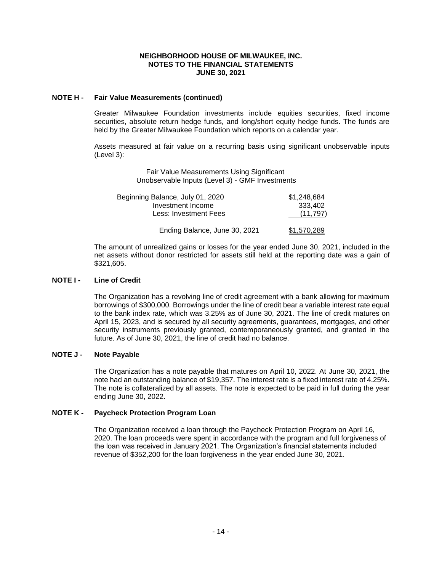#### **NOTE H - Fair Value Measurements (continued)**

Greater Milwaukee Foundation investments include equities securities, fixed income securities, absolute return hedge funds, and long/short equity hedge funds. The funds are held by the Greater Milwaukee Foundation which reports on a calendar year.

Assets measured at fair value on a recurring basis using significant unobservable inputs (Level 3):

> Fair Value Measurements Using Significant Unobservable Inputs (Level 3) - GMF Investments

| Beginning Balance, July 01, 2020 | \$1,248,684 |
|----------------------------------|-------------|
| Investment Income                | 333,402     |
| Less: Investment Fees            | (11, 797)   |
| Ending Balance, June 30, 2021    | \$1.570.289 |

The amount of unrealized gains or losses for the year ended June 30, 2021, included in the net assets without donor restricted for assets still held at the reporting date was a gain of \$321,605.

#### **NOTE I - Line of Credit**

The Organization has a revolving line of credit agreement with a bank allowing for maximum borrowings of \$300,000. Borrowings under the line of credit bear a variable interest rate equal to the bank index rate, which was 3.25% as of June 30, 2021. The line of credit matures on April 15, 2023, and is secured by all security agreements, guarantees, mortgages, and other security instruments previously granted, contemporaneously granted, and granted in the future. As of June 30, 2021, the line of credit had no balance.

#### **NOTE J - Note Payable**

The Organization has a note payable that matures on April 10, 2022. At June 30, 2021, the note had an outstanding balance of \$19,357. The interest rate is a fixed interest rate of 4.25%. The note is collateralized by all assets. The note is expected to be paid in full during the year ending June 30, 2022.

## **NOTE K - Paycheck Protection Program Loan**

The Organization received a loan through the Paycheck Protection Program on April 16, 2020. The loan proceeds were spent in accordance with the program and full forgiveness of the loan was received in January 2021. The Organization's financial statements included revenue of \$352,200 for the loan forgiveness in the year ended June 30, 2021.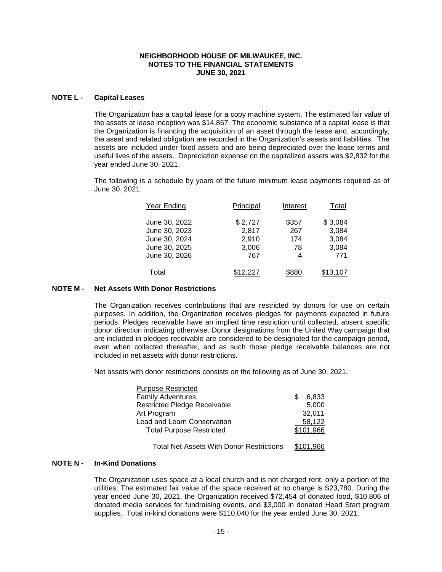## **NOTE L - Capital Leases**

The Organization has a capital lease for a copy machine system. The estimated fair value of the assets at lease inception was \$14,867. The economic substance of a capital lease is that the Organization is financing the acquisition of an asset through the lease and, accordingly, the asset and related obligation are recorded in the Organization's assets and liabilities. The assets are included under fixed assets and are being depreciated over the lease terms and useful lives of the assets. Depreciation expense on the capitalized assets was \$2,832 for the year ended June 30, 2021.

The following is a schedule by years of the future minimum lease payments required as of June 30, 2021:

| Year Ending   | Principal | Interest     | Total    |
|---------------|-----------|--------------|----------|
| June 30, 2022 | \$2,727   | \$357        | \$3,084  |
| June 30, 2023 | 2,817     | 267          | 3,084    |
| June 30, 2024 | 2,910     | 174          | 3,084    |
| June 30, 2025 | 3,006     | 78           | 3,084    |
| June 30, 2026 | 767       | 4            | 771      |
| Total         | \$12.227  | <b>T881.</b> | \$13.107 |

#### **NOTE M - Net Assets With Donor Restrictions**

The Organization receives contributions that are restricted by donors for use on certain purposes. In addition, the Organization receives pledges for payments expected in future periods. Pledges receivable have an implied time restriction until collected, absent specific donor direction indicating otherwise. Donor designations from the United Way campaign that are included in pledges receivable are considered to be designated for the campaign period, even when collected thereafter, and as such those pledge receivable balances are not included in net assets with donor restrictions.

Net assets with donor restrictions consists on the following as of June 30, 2021.

| <b>Purpose Restricted</b>           |             |
|-------------------------------------|-------------|
| <b>Family Adventures</b>            | 6.833<br>\$ |
| <b>Restricted Pledge Receivable</b> | 5.000       |
| Art Program                         | 32,011      |
| Lead and Learn Conservation         | 58,122      |
| <b>Total Purpose Restricted</b>     | \$101,966   |
|                                     |             |

Total Net Assets With Donor Restrictions \$101,966

## **NOTE N - In-Kind Donations**

The Organization uses space at a local church and is not charged rent, only a portion of the utilities. The estimated fair value of the space received at no charge is \$23,780. During the year ended June 30, 2021, the Organization received \$72,454 of donated food, \$10,806 of donated media services for fundraising events, and \$3,000 in donated Head Start program supplies. Total in-kind donations were \$110,040 for the year ended June 30, 2021.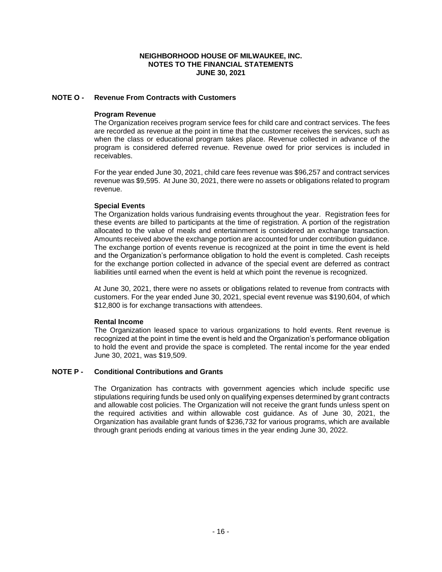## **NOTE O - Revenue From Contracts with Customers**

#### **Program Revenue**

The Organization receives program service fees for child care and contract services. The fees are recorded as revenue at the point in time that the customer receives the services, such as when the class or educational program takes place. Revenue collected in advance of the program is considered deferred revenue. Revenue owed for prior services is included in receivables.

For the year ended June 30, 2021, child care fees revenue was \$96,257 and contract services revenue was \$9,595. At June 30, 2021, there were no assets or obligations related to program revenue.

## **Special Events**

The Organization holds various fundraising events throughout the year. Registration fees for these events are billed to participants at the time of registration. A portion of the registration allocated to the value of meals and entertainment is considered an exchange transaction. Amounts received above the exchange portion are accounted for under contribution guidance. The exchange portion of events revenue is recognized at the point in time the event is held and the Organization's performance obligation to hold the event is completed. Cash receipts for the exchange portion collected in advance of the special event are deferred as contract liabilities until earned when the event is held at which point the revenue is recognized.

At June 30, 2021, there were no assets or obligations related to revenue from contracts with customers. For the year ended June 30, 2021, special event revenue was \$190,604, of which \$12,800 is for exchange transactions with attendees.

#### **Rental Income**

The Organization leased space to various organizations to hold events. Rent revenue is recognized at the point in time the event is held and the Organization's performance obligation to hold the event and provide the space is completed. The rental income for the year ended June 30, 2021, was \$19,509.

## **NOTE P - Conditional Contributions and Grants**

The Organization has contracts with government agencies which include specific use stipulations requiring funds be used only on qualifying expenses determined by grant contracts and allowable cost policies. The Organization will not receive the grant funds unless spent on the required activities and within allowable cost guidance. As of June 30, 2021, the Organization has available grant funds of \$236,732 for various programs, which are available through grant periods ending at various times in the year ending June 30, 2022.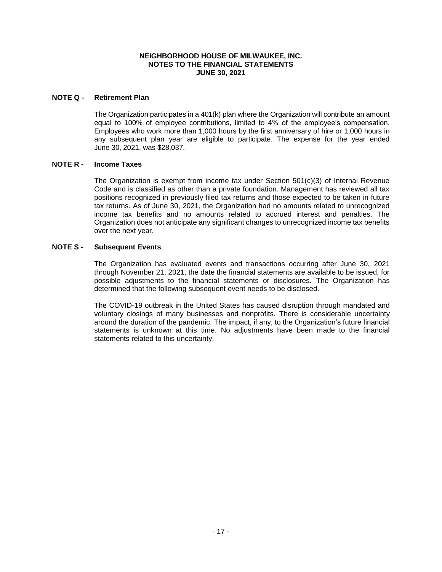## **NOTE Q - Retirement Plan**

The Organization participates in a 401(k) plan where the Organization will contribute an amount equal to 100% of employee contributions, limited to 4% of the employee's compensation. Employees who work more than 1,000 hours by the first anniversary of hire or 1,000 hours in any subsequent plan year are eligible to participate. The expense for the year ended June 30, 2021, was \$28,037.

#### **NOTE R - Income Taxes**

The Organization is exempt from income tax under Section 501(c)(3) of Internal Revenue Code and is classified as other than a private foundation. Management has reviewed all tax positions recognized in previously filed tax returns and those expected to be taken in future tax returns. As of June 30, 2021, the Organization had no amounts related to unrecognized income tax benefits and no amounts related to accrued interest and penalties. The Organization does not anticipate any significant changes to unrecognized income tax benefits over the next year.

#### **NOTE S - Subsequent Events**

The Organization has evaluated events and transactions occurring after June 30, 2021 through November 21, 2021, the date the financial statements are available to be issued, for possible adjustments to the financial statements or disclosures. The Organization has determined that the following subsequent event needs to be disclosed.

The COVID-19 outbreak in the United States has caused disruption through mandated and voluntary closings of many businesses and nonprofits. There is considerable uncertainty around the duration of the pandemic. The impact, if any, to the Organization's future financial statements is unknown at this time. No adjustments have been made to the financial statements related to this uncertainty.